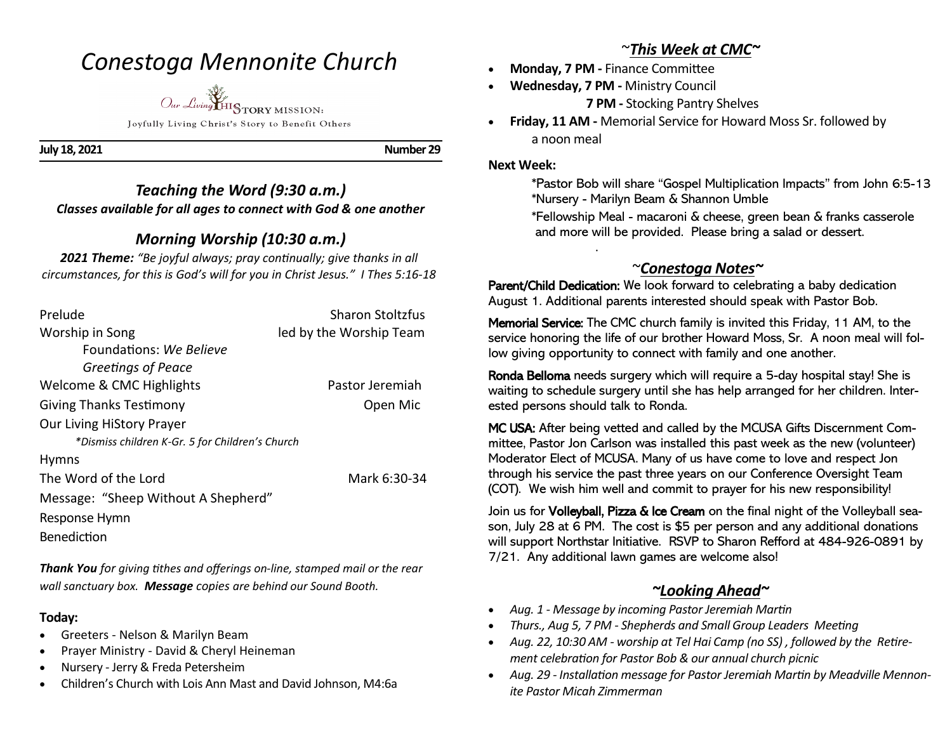# *Conestoga Mennonite Church*

*Our Living* HISTORY MISSION: Joyfully Living Christ's Story to Benefit Others

**July 18, 2021 Number 29** 

### *Teaching the Word (9:30 a.m.) Classes available for all ages to connect with God & one another*

## *Morning Worship (10:30 a.m.)*

*2021 Theme: "Be joyful always; pray continually; give thanks in all circumstances, for this is God's will for you in Christ Jesus." I Thes 5:16-18*

| Prelude                                         | <b>Sharon Stoltzfus</b> |
|-------------------------------------------------|-------------------------|
| Worship in Song                                 | led by the Worship Team |
| Foundations: We Believe                         |                         |
| Greetings of Peace                              |                         |
| Welcome & CMC Highlights                        | Pastor Jeremiah         |
| <b>Giving Thanks Testimony</b>                  | Open Mic                |
| <b>Our Living HiStory Prayer</b>                |                         |
| *Dismiss children K-Gr. 5 for Children's Church |                         |
| <b>Hymns</b>                                    |                         |
| The Word of the Lord                            | Mark 6:30-34            |
| Message: "Sheep Without A Shepherd"             |                         |
| Response Hymn                                   |                         |
| Benediction                                     |                         |

*Thank You for giving tithes and offerings on-line, stamped mail or the rear wall sanctuary box. Message copies are behind our Sound Booth.*

### **Today:**

- Greeters Nelson & Marilyn Beam
- Prayer Ministry David & Cheryl Heineman
- Nursery Jerry & Freda Petersheim
- Children's Church with Lois Ann Mast and David Johnson, M4:6a

## ~*This Week at CMC~*

- **Monday, 7 PM -** Finance Committee
	- **Wednesday, 7 PM -** Ministry Council

**7 PM -** Stocking Pantry Shelves

• **Friday, 11 AM -** Memorial Service for Howard Moss Sr. followed by a noon meal

### **Next Week:**

.

 \*Pastor Bob will share "Gospel Multiplication Impacts" from John 6:5-13 \*Nursery - Marilyn Beam & Shannon Umble

\*Fellowship Meal - macaroni & cheese, green bean & franks casserole and more will be provided. Please bring a salad or dessert.

## ~*Conestoga Notes~*

Parent/Child Dedication: We look forward to celebrating a baby dedication August 1. Additional parents interested should speak with Pastor Bob.

Memorial Service: The CMC church family is invited this Friday, 11 AM, to the service honoring the life of our brother Howard Moss, Sr. A noon meal will follow giving opportunity to connect with family and one another.

Ronda Belloma needs surgery which will require a 5-day hospital stay! She is waiting to schedule surgery until she has help arranged for her children. Interested persons should talk to Ronda.

MC USA: After being vetted and called by the MCUSA Gifts Discernment Committee, Pastor Jon Carlson was installed this past week as the new (volunteer) Moderator Elect of MCUSA. Many of us have come to love and respect Jon through his service the past three years on our Conference Oversight Team (COT). We wish him well and commit to prayer for his new responsibility!

Join us for Volleyball, Pizza & Ice Cream on the final night of the Volleyball season, July 28 at 6 PM. The cost is \$5 per person and any additional donations will support Northstar Initiative. RSVP to Sharon Refford at 484-926-0891 by 7/21. Any additional lawn games are welcome also!

## *~Looking Ahead~*

- *Aug. 1 - Message by incoming Pastor Jeremiah Martin*
- *Thurs., Aug 5, 7 PM - Shepherds and Small Group Leaders Meeting*
- *Aug. 22, 10:30 AM - worship at Tel Hai Camp (no SS) , followed by the Retirement celebration for Pastor Bob & our annual church picnic*
- *Aug. 29 - Installation message for Pastor Jeremiah Martin by Meadville Mennonite Pastor Micah Zimmerman*